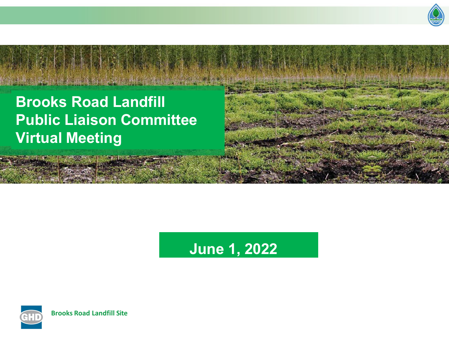

## **Brooks Road Landfill Public Liaison Committee Virtual Meeting**

# **June 1, 2022**

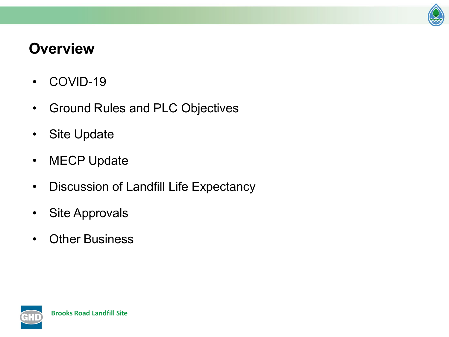

### **Overview**

- COVID-19
- Ground Rules and PLC Objectives
- Site Update
- MECP Update
- Discussion of Landfill Life Expectancy
- Site Approvals
- Other Business

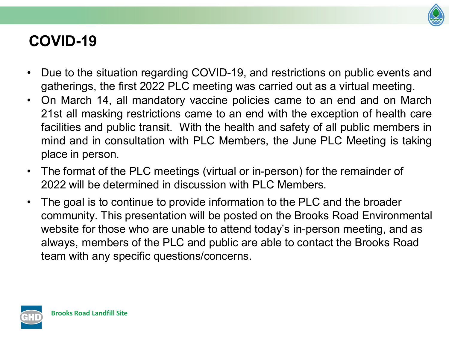

### **COVID-19**

- Due to the situation regarding COVID-19, and restrictions on public events and gatherings, the first 2022 PLC meeting was carried out as a virtual meeting.
- On March 14, all mandatory vaccine policies came to an end and on March 21st all masking restrictions came to an end with the exception of health care facilities and public transit. With the health and safety of all public members in mind and in consultation with PLC Members, the June PLC Meeting is taking place in person.
- The format of the PLC meetings (virtual or in-person) for the remainder of 2022 will be determined in discussion with PLC Members.
- The goal is to continue to provide information to the PLC and the broader community. This presentation will be posted on the Brooks Road Environmental website for those who are unable to attend today's in-person meeting, and as always, members of the PLC and public are able to contact the Brooks Road team with any specific questions/concerns.

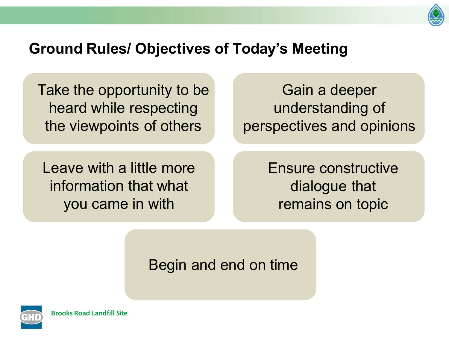

#### **Ground Rules/ Objectives of Today's Meeting**

Take the opportunity to be heard while respecting the viewpoints of others

Gain a deeper understanding of perspectives and opinions

Leave with a little more information that what you came in with

Ensure constructive dialogue that remains on topic

Begin and end on time

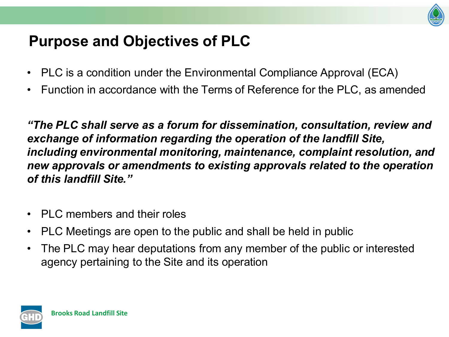

### **Purpose and Objectives of PLC**

- PLC is a condition under the Environmental Compliance Approval (ECA)
- Function in accordance with the Terms of Reference for the PLC, as amended

*"The PLC shall serve as a forum for dissemination, consultation, review and exchange of information regarding the operation of the landfill Site, including environmental monitoring, maintenance, complaint resolution, and new approvals or amendments to existing approvals related to the operation of this landfill Site."*

- PLC members and their roles
- PLC Meetings are open to the public and shall be held in public
- The PLC may hear deputations from any member of the public or interested agency pertaining to the Site and its operation

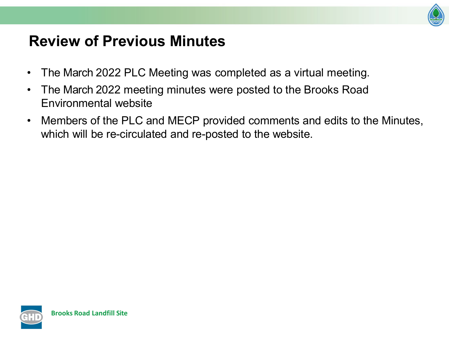

### **Review of Previous Minutes**

- The March 2022 PLC Meeting was completed as a virtual meeting.
- The March 2022 meeting minutes were posted to the Brooks Road Environmental website
- Members of the PLC and MECP provided comments and edits to the Minutes, which will be re-circulated and re-posted to the website.

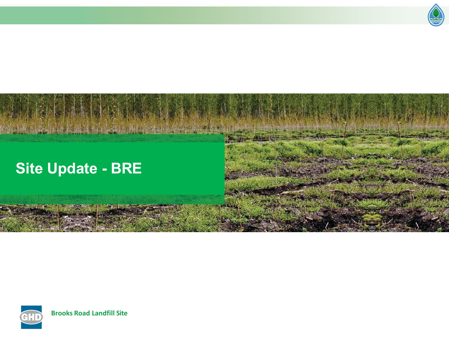

## **Site Update - BRE**



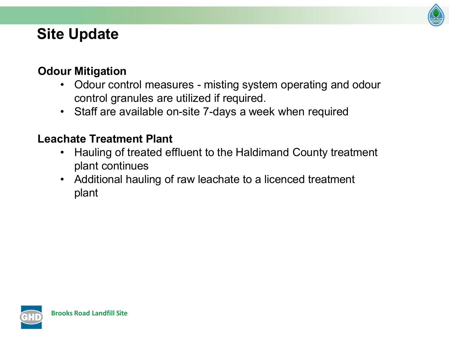

### **Site Update**

#### **Odour Mitigation**

- Odour control measures misting system operating and odour control granules are utilized if required.
- Staff are available on-site 7-days a week when required

#### **Leachate Treatment Plant**

- Hauling of treated effluent to the Haldimand County treatment plant continues
- Additional hauling of raw leachate to a licenced treatment plant

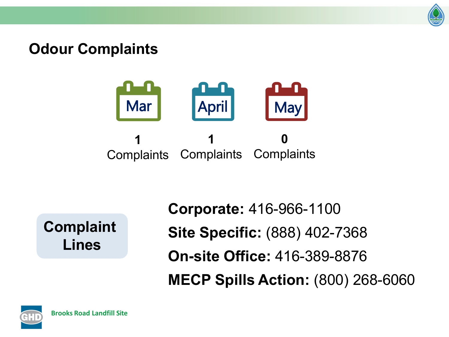

#### **Odour Complaints**



**Complaint Lines**

**Corporate:** 416-966-1100 **Site Specific:** (888) 402-7368 **On-site Office:** 416-389-8876 **MECP Spills Action:** (800) 268-6060

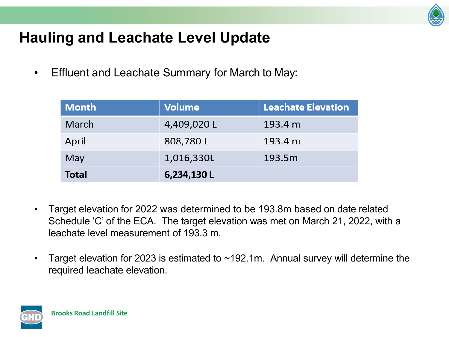

### **Hauling and Leachate Level Update**

• Effluent and Leachate Summary for March to May:

| <b>Month</b> | <b>Volume</b> | <b>Leachate Elevation</b> |
|--------------|---------------|---------------------------|
| March        | 4,409,020L    | 193.4 m                   |
| April        | 808,780L      | 193.4 m                   |
| May          | 1,016,330L    | 193.5m                    |
| <b>Total</b> | 6,234,130L    |                           |

- Target elevation for 2022 was determined to be 193.8m based on date related Schedule 'C' of the ECA. The target elevation was met on March 21, 2022, with a leachate level measurement of 193.3 m.
- Target elevation for 2023 is estimated to  $\sim$ 192.1m. Annual survey will determine the required leachate elevation.

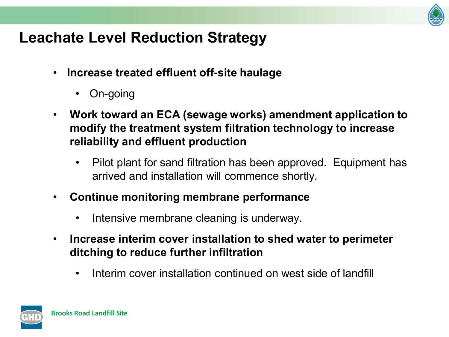

### **Leachate Level Reduction Strategy**

- **Increase treated effluent off-site haulage**
	- On-going
- **Work toward an ECA (sewage works) amendment application to modify the treatment system filtration technology to increase reliability and effluent production**
	- Pilot plant for sand filtration has been approved. Equipment has arrived and installation will commence shortly.
- **Continue monitoring membrane performance**
	- Intensive membrane cleaning is underway.
- **Increase interim cover installation to shed water to perimeter ditching to reduce further infiltration**
	- Interim cover installation continued on west side of landfill

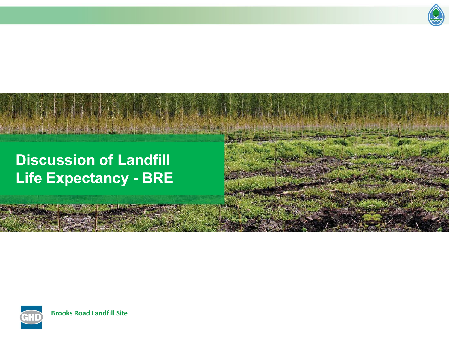

### **Discussion of Landfill Life Expectancy - BRE**

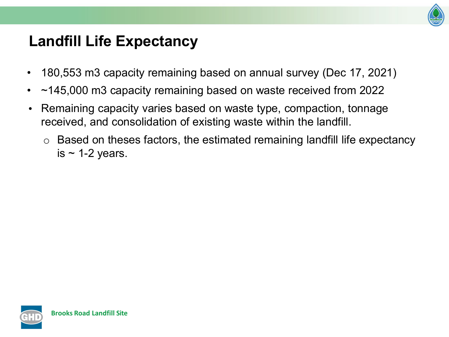

### **Landfill Life Expectancy**

- 180,553 m3 capacity remaining based on annual survey (Dec 17, 2021)
- ~145,000 m3 capacity remaining based on waste received from 2022
- Remaining capacity varies based on waste type, compaction, tonnage received, and consolidation of existing waste within the landfill.
	- o Based on theses factors, the estimated remaining landfill life expectancy is  $\sim$  1-2 years.

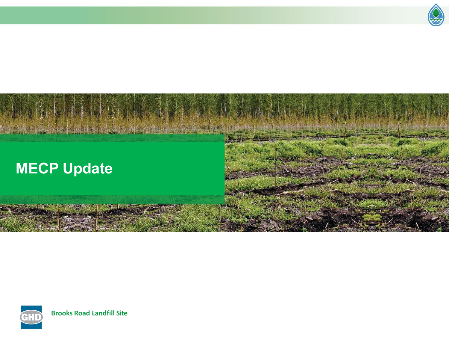

# **MECP Update**

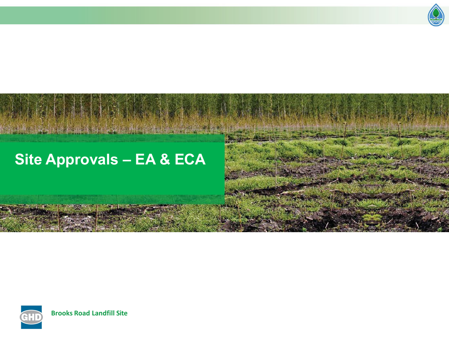

# **Site Approvals – EA & ECA**

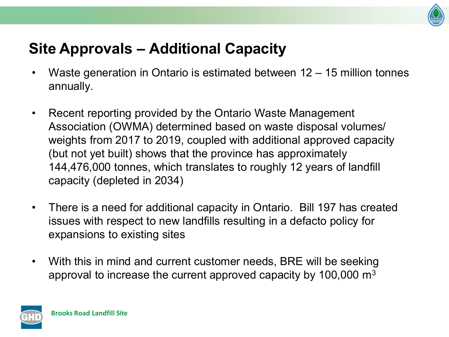

### **Site Approvals – Additional Capacity**

- Waste generation in Ontario is estimated between  $12 15$  million tonnes annually.
- Recent reporting provided by the Ontario Waste Management Association (OWMA) determined based on waste disposal volumes/ weights from 2017 to 2019, coupled with additional approved capacity (but not yet built) shows that the province has approximately 144,476,000 tonnes, which translates to roughly 12 years of landfill capacity (depleted in 2034)
- There is a need for additional capacity in Ontario. Bill 197 has created issues with respect to new landfills resulting in a defacto policy for expansions to existing sites
- With this in mind and current customer needs, BRE will be seeking approval to increase the current approved capacity by 100,000 m3

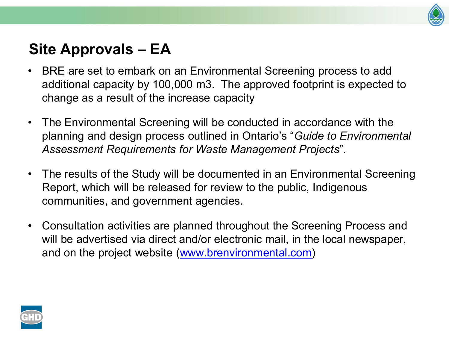

### **Site Approvals – EA**

- BRE are set to embark on an Environmental Screening process to add additional capacity by 100,000 m3. The approved footprint is expected to change as a result of the increase capacity
- The Environmental Screening will be conducted in accordance with the planning and design process outlined in Ontario's "*Guide to Environmental Assessment Requirements for Waste Management Projects*".
- The results of the Study will be documented in an Environmental Screening Report, which will be released for review to the public, Indigenous communities, and government agencies.
- Consultation activities are planned throughout the Screening Process and will be advertised via direct and/or electronic mail, in the local newspaper, and on the project website ([www.brenvironmental.com\)](http://www.brenvironmental.com/)